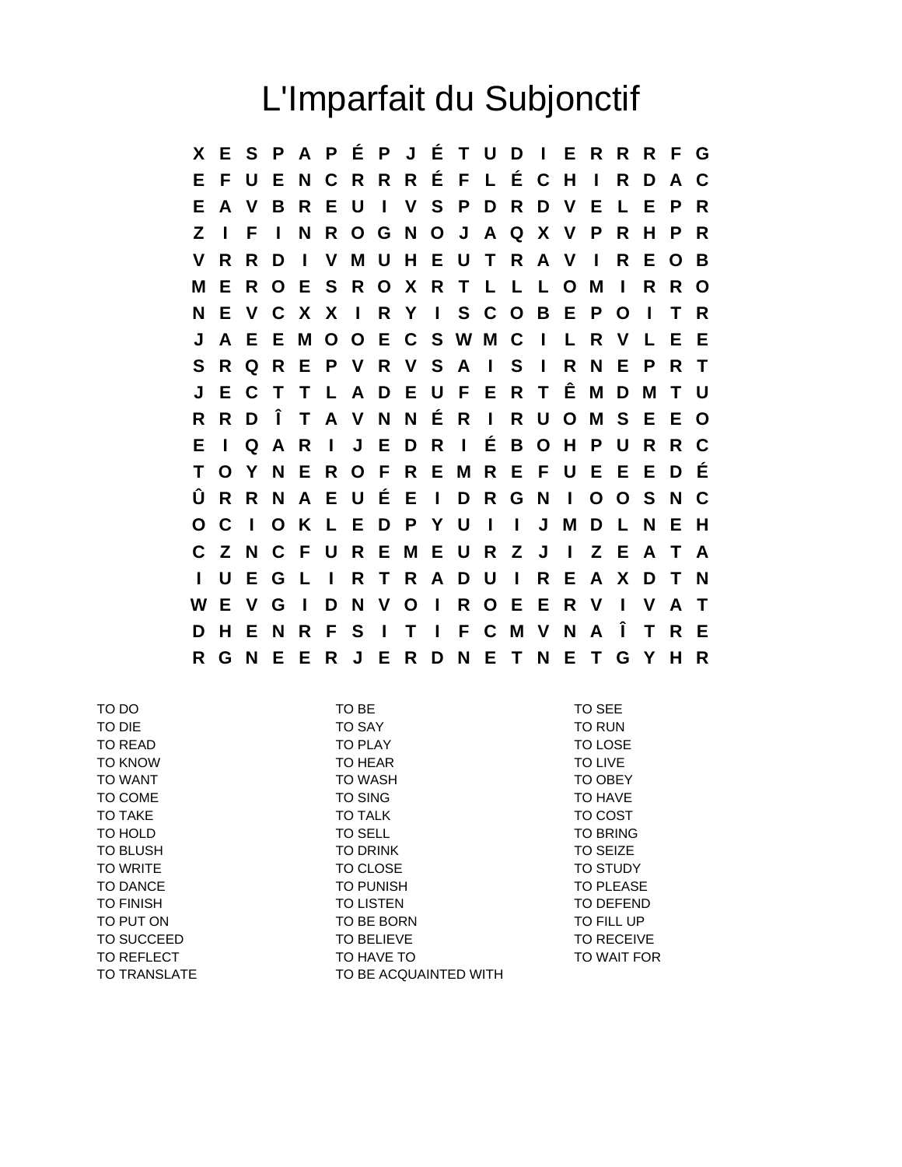## L'Imparfait du Subjonctif

**X E S P A P É P J É T U D I E R R R F G E F U E N C R R R É F L É C H I R D A C E A V B R E U I V S P D R D V E L E P R Z I F I N R O G N O J A Q X V P R H P R V R R D I V M U H E U T R A V I R E O B M E R O E S R O X R T L L L O M I R R O N E V C X X I R Y I S C O B E P O I T R J A E E M O O E C S W M C I L R V L E E S R Q R E P V R V S A I S I R N E P R T J E C T T L A D E U F E R T Ê M D M T U R R D Î T A V N N É R I R U O M S E E O E I Q A R I J E D R I É B O H P U R R C T O Y N E R O F R E M R E F U E E E D É Û R R N A E U É E I D R G N I O O S N C O C I O K L E D P Y U I I J M D L N E H C Z N C F U R E M E U R Z J I Z E A T A I U E G L I R T R A D U I R E A X D T N W E V G I D N V O I R O E E R V I V A T D H E N R F S I T I F C M V N A Î T R E R G N E E R J E R D N E T N E T G Y H R**

| TO DO               | TO BE                 | TO SEE             |
|---------------------|-----------------------|--------------------|
| TO DIE              | <b>TO SAY</b>         | <b>TO RUN</b>      |
| TO READ             | <b>TO PLAY</b>        | TO LOSE            |
| <b>TO KNOW</b>      | TO HEAR               | TO LIVE            |
| <b>TO WANT</b>      | <b>TO WASH</b>        | <b>TO OBEY</b>     |
| TO COME             | <b>TO SING</b>        | TO HAVE            |
| <b>TO TAKE</b>      | <b>TO TALK</b>        | TO COST            |
| TO HOLD             | <b>TO SELL</b>        | <b>TO BRING</b>    |
| <b>TO BLUSH</b>     | <b>TO DRINK</b>       | <b>TO SEIZE</b>    |
| <b>TO WRITE</b>     | TO CLOSE              | <b>TO STUDY</b>    |
| TO DANCE            | <b>TO PUNISH</b>      | TO PLEASE          |
| <b>TO FINISH</b>    | <b>TO LISTEN</b>      | TO DEFEND          |
| TO PUT ON           | TO BE BORN            | TO FILL UP         |
| <b>TO SUCCEED</b>   | <b>TO BELIEVE</b>     | TO RECEIVE         |
| TO REFLECT          | TO HAVE TO            | <b>TO WAIT FOR</b> |
| <b>TO TRANSLATE</b> | TO BE ACQUAINTED WITH |                    |